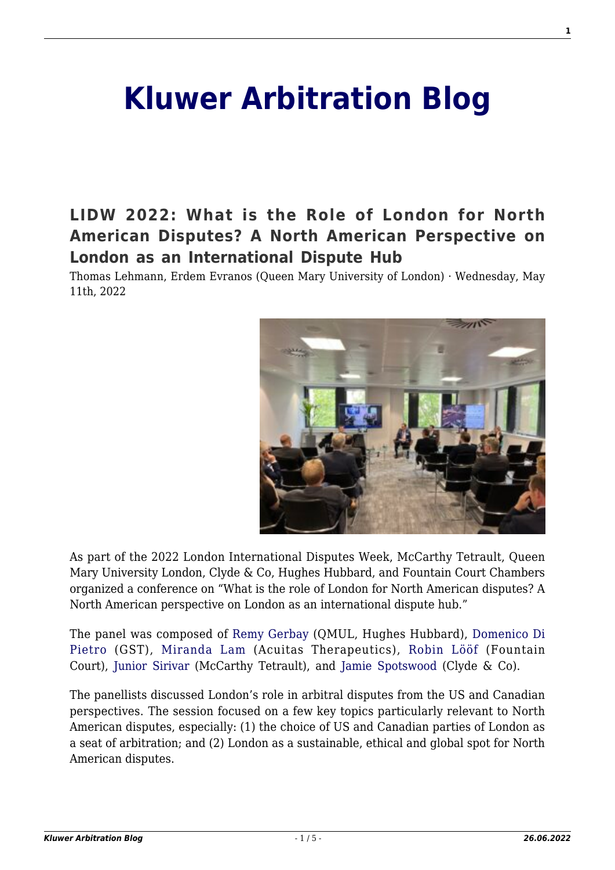# **[Kluwer Arbitration Blog](http://arbitrationblog.kluwerarbitration.com/)**

**[LIDW 2022: What is the Role of London for North](http://arbitrationblog.kluwerarbitration.com/2022/05/11/lidw-2022-what-is-the-role-of-london-for-north-american-disputes-a-north-american-perspective-on-london-as-an-international-dispute-hub/) [American Disputes? A North American Perspective on](http://arbitrationblog.kluwerarbitration.com/2022/05/11/lidw-2022-what-is-the-role-of-london-for-north-american-disputes-a-north-american-perspective-on-london-as-an-international-dispute-hub/) [London as an International Dispute Hub](http://arbitrationblog.kluwerarbitration.com/2022/05/11/lidw-2022-what-is-the-role-of-london-for-north-american-disputes-a-north-american-perspective-on-london-as-an-international-dispute-hub/)**

Thomas Lehmann, Erdem Evranos (Queen Mary University of London) · Wednesday, May 11th, 2022



As part of the 2022 London International Disputes Week, McCarthy Tetrault, Queen Mary University London, Clyde & Co, Hughes Hubbard, and Fountain Court Chambers organized a conference on "What is the role of London for North American disputes? A North American perspective on London as an international dispute hub."

The panel was composed of [Remy Gerbay](https://www.hugheshubbard.com/attorneys/remy-gerbay) (QMUL, Hughes Hubbard), [Domenico Di](https://gstllp.com/people/domenico-di-pietro/) [Pietro](https://gstllp.com/people/domenico-di-pietro/) (GST), [Miranda Lam](https://www.linkedin.com/in/miranda-lam-76883240/?originalSubdomain=ca) (Acuitas Therapeutics), [Robin Lööf](https://www.fountaincourt.co.uk/people/robin-loof/) (Fountain Court), [Junior Sirivar](https://www.mccarthy.ca/en/people/junior-sirivar) (McCarthy Tetrault), and [Jamie Spotswood](https://www.clydeco.com/en/people/s/jamie-spotswood) (Clyde & Co).

The panellists discussed London's role in arbitral disputes from the US and Canadian perspectives. The session focused on a few key topics particularly relevant to North American disputes, especially: (1) the choice of US and Canadian parties of London as a seat of arbitration; and (2) London as a sustainable, ethical and global spot for North American disputes.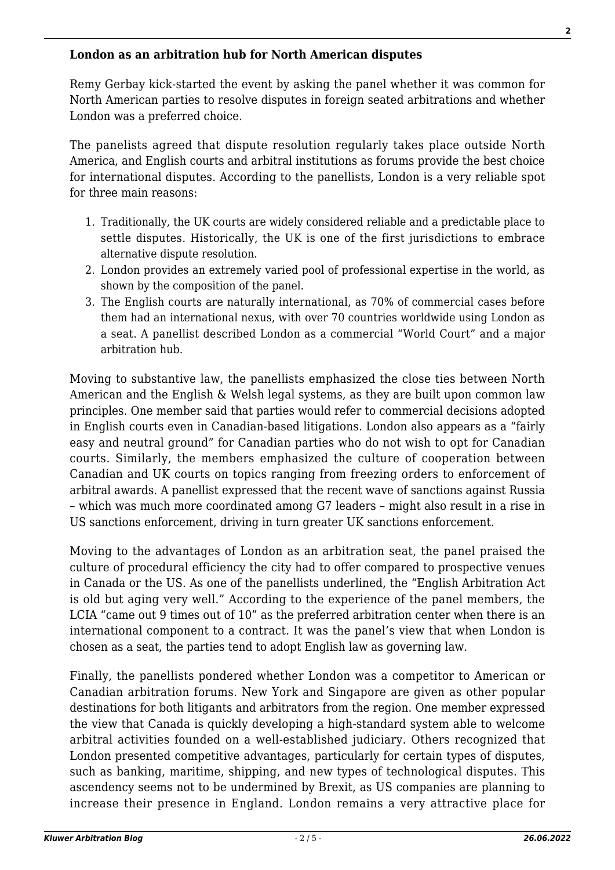#### **London as an arbitration hub for North American disputes**

Remy Gerbay kick-started the event by asking the panel whether it was common for North American parties to resolve disputes in foreign seated arbitrations and whether London was a preferred choice.

The panelists agreed that dispute resolution regularly takes place outside North America, and English courts and arbitral institutions as forums provide the best choice for international disputes. According to the panellists, London is a very reliable spot for three main reasons:

- 1. Traditionally, the UK courts are widely considered reliable and a predictable place to settle disputes. Historically, the UK is one of the first jurisdictions to embrace alternative dispute resolution.
- 2. London provides an extremely varied pool of professional expertise in the world, as shown by the composition of the panel.
- 3. The English courts are naturally international, as 70% of commercial cases before them had an international nexus, with over 70 countries worldwide using London as a seat. A panellist described London as a commercial "World Court" and a major arbitration hub.

Moving to substantive law, the panellists emphasized the close ties between North American and the English & Welsh legal systems, as they are built upon common law principles. One member said that parties would refer to commercial decisions adopted in English courts even in Canadian-based litigations. London also appears as a "fairly easy and neutral ground" for Canadian parties who do not wish to opt for Canadian courts. Similarly, the members emphasized the culture of cooperation between Canadian and UK courts on topics ranging from freezing orders to enforcement of arbitral awards. A panellist expressed that the recent wave of sanctions against Russia – which was much more coordinated among G7 leaders – might also result in a rise in US sanctions enforcement, driving in turn greater UK sanctions enforcement.

Moving to the advantages of London as an arbitration seat, the panel praised the culture of procedural efficiency the city had to offer compared to prospective venues in Canada or the US. As one of the panellists underlined, the "English Arbitration Act is old but aging very well." According to the experience of the panel members, the LCIA "came out 9 times out of 10" as the preferred arbitration center when there is an international component to a contract. It was the panel's view that when London is chosen as a seat, the parties tend to adopt English law as governing law.

Finally, the panellists pondered whether London was a competitor to American or Canadian arbitration forums. New York and Singapore are given as other popular destinations for both litigants and arbitrators from the region. One member expressed the view that Canada is quickly developing a high-standard system able to welcome arbitral activities founded on a well-established judiciary. Others recognized that London presented competitive advantages, particularly for certain types of disputes, such as banking, maritime, shipping, and new types of technological disputes. This ascendency seems not to be undermined by Brexit, as US companies are planning to increase their presence in England. London remains a very attractive place for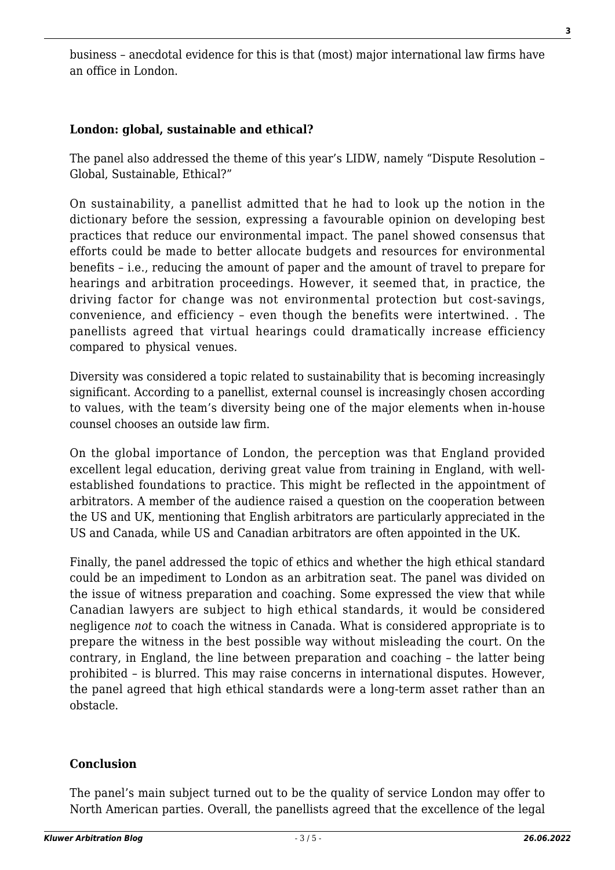business – anecdotal evidence for this is that (most) major international law firms have an office in London.

## **London: global, sustainable and ethical?**

The panel also addressed the theme of this year's LIDW, namely "Dispute Resolution – Global, Sustainable, Ethical?"

On sustainability, a panellist admitted that he had to look up the notion in the dictionary before the session, expressing a favourable opinion on developing best practices that reduce our environmental impact. The panel showed consensus that efforts could be made to better allocate budgets and resources for environmental benefits – i.e., reducing the amount of paper and the amount of travel to prepare for hearings and arbitration proceedings. However, it seemed that, in practice, the driving factor for change was not environmental protection but cost-savings, convenience, and efficiency – even though the benefits were intertwined. . The panellists agreed that virtual hearings could dramatically increase efficiency compared to physical venues.

Diversity was considered a topic related to sustainability that is becoming increasingly significant. According to a panellist, external counsel is increasingly chosen according to values, with the team's diversity being one of the major elements when in-house counsel chooses an outside law firm.

On the global importance of London, the perception was that England provided excellent legal education, deriving great value from training in England, with wellestablished foundations to practice. This might be reflected in the appointment of arbitrators. A member of the audience raised a question on the cooperation between the US and UK, mentioning that English arbitrators are particularly appreciated in the US and Canada, while US and Canadian arbitrators are often appointed in the UK.

Finally, the panel addressed the topic of ethics and whether the high ethical standard could be an impediment to London as an arbitration seat. The panel was divided on the issue of witness preparation and coaching. Some expressed the view that while Canadian lawyers are subject to high ethical standards, it would be considered negligence *not* to coach the witness in Canada. What is considered appropriate is to prepare the witness in the best possible way without misleading the court. On the contrary, in England, the line between preparation and coaching – the latter being prohibited – is blurred. This may raise concerns in international disputes. However, the panel agreed that high ethical standards were a long-term asset rather than an obstacle.

#### **Conclusion**

The panel's main subject turned out to be the quality of service London may offer to North American parties. Overall, the panellists agreed that the excellence of the legal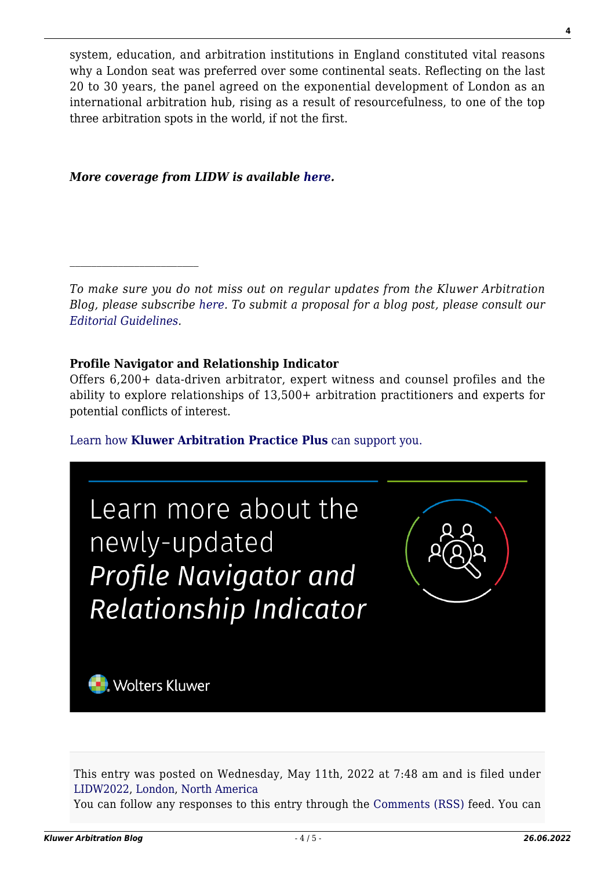system, education, and arbitration institutions in England constituted vital reasons why a London seat was preferred over some continental seats. Reflecting on the last 20 to 30 years, the panel agreed on the exponential development of London as an international arbitration hub, rising as a result of resourcefulness, to one of the top three arbitration spots in the world, if not the first.

*More coverage from LIDW is available [here](http://arbitrationblog.kluwerarbitration.com/category/archives/lidw2022/).*

*To make sure you do not miss out on regular updates from the Kluwer Arbitration Blog, please subscribe [here](http://arbitrationblog.kluwerarbitration.com/newsletter/). To submit a proposal for a blog post, please consult our [Editorial Guidelines.](http://arbitrationblog.kluwerarbitration.com/editorial-guidelines/)*

### **Profile Navigator and Relationship Indicator**

Offers 6,200+ data-driven arbitrator, expert witness and counsel profiles and the ability to explore relationships of 13,500+ arbitration practitioners and experts for potential conflicts of interest.

[Learn how](https://www.wolterskluwer.com/en/solutions/kluwerarbitration/practiceplus?utm_source=arbitrationblog&utm_medium=articleCTA&utm_campaign=article-banner) **[Kluwer Arbitration Practice Plus](https://www.wolterskluwer.com/en/solutions/kluwerarbitration/practiceplus?utm_source=arbitrationblog&utm_medium=articleCTA&utm_campaign=article-banner)** [can support you.](https://www.wolterskluwer.com/en/solutions/kluwerarbitration/practiceplus?utm_source=arbitrationblog&utm_medium=articleCTA&utm_campaign=article-banner)



This entry was posted on Wednesday, May 11th, 2022 at 7:48 am and is filed under [LIDW2022](http://arbitrationblog.kluwerarbitration.com/category/lidw2022/), [London](http://arbitrationblog.kluwerarbitration.com/category/london/), [North America](http://arbitrationblog.kluwerarbitration.com/category/north-america/)

You can follow any responses to this entry through the [Comments \(RSS\)](http://arbitrationblog.kluwerarbitration.com/comments/feed/) feed. You can